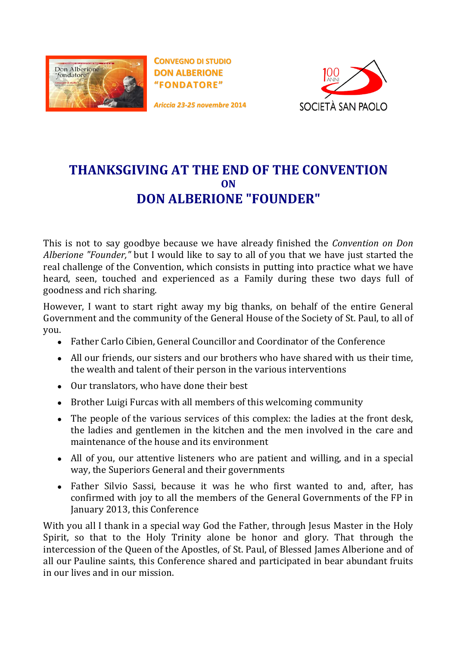

**CONVEGNO DI STUDIO DON ALBERIONE "FONDATORE"**

*Ariccia 23-25 novembre* **2014**



## **THANKSGIVING AT THE END OF THE CONVENTION ON DON ALBERIONE "FOUNDER"**

This is not to say goodbye because we have already finished the *Convention on Don Alberione "Founder,"* but I would like to say to all of you that we have just started the real challenge of the Convention, which consists in putting into practice what we have heard, seen, touched and experienced as a Family during these two days full of goodness and rich sharing.

However, I want to start right away my big thanks, on behalf of the entire General Government and the community of the General House of the Society of St. Paul, to all of you.

- Father Carlo Cibien, General Councillor and Coordinator of the Conference
- All our friends, our sisters and our brothers who have shared with us their time, the wealth and talent of their person in the various interventions
- Our translators, who have done their best
- Brother Luigi Furcas with all members of this welcoming community
- The people of the various services of this complex: the ladies at the front desk, the ladies and gentlemen in the kitchen and the men involved in the care and maintenance of the house and its environment
- All of you, our attentive listeners who are patient and willing, and in a special way, the Superiors General and their governments
- Father Silvio Sassi, because it was he who first wanted to and, after, has confirmed with joy to all the members of the General Governments of the FP in January 2013, this Conference

With you all I thank in a special way God the Father, through Jesus Master in the Holy Spirit, so that to the Holy Trinity alone be honor and glory. That through the intercession of the Queen of the Apostles, of St. Paul, of Blessed James Alberione and of all our Pauline saints, this Conference shared and participated in bear abundant fruits in our lives and in our mission.